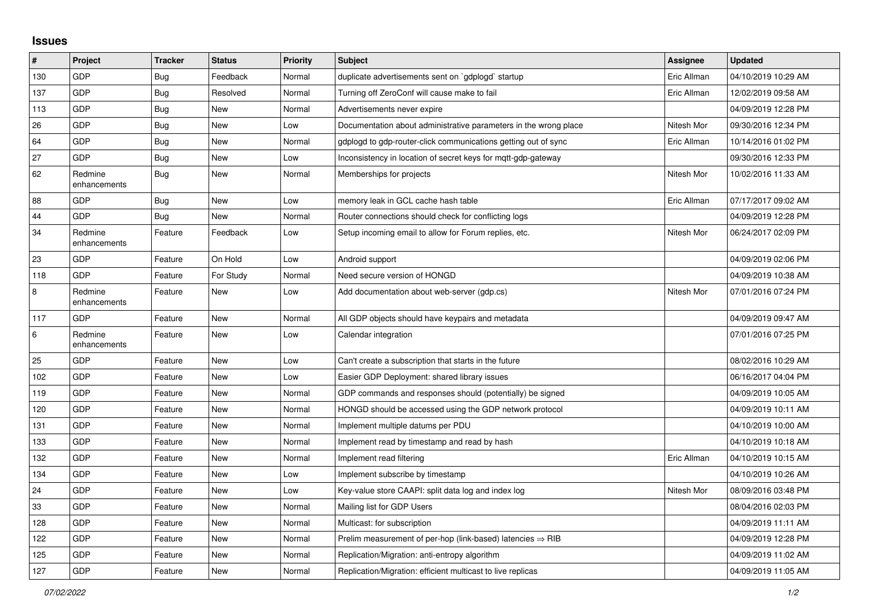## **Issues**

| #   | Project                 | <b>Tracker</b> | <b>Status</b> | <b>Priority</b> | <b>Subject</b>                                                         | Assignee    | <b>Updated</b>      |
|-----|-------------------------|----------------|---------------|-----------------|------------------------------------------------------------------------|-------------|---------------------|
| 130 | GDP                     | Bug            | Feedback      | Normal          | duplicate advertisements sent on `gdplogd` startup                     | Eric Allman | 04/10/2019 10:29 AM |
| 137 | GDP                     | Bug            | Resolved      | Normal          | Turning off ZeroConf will cause make to fail                           | Eric Allman | 12/02/2019 09:58 AM |
| 113 | GDP                     | <b>Bug</b>     | New           | Normal          | Advertisements never expire                                            |             | 04/09/2019 12:28 PM |
| 26  | GDP                     | <b>Bug</b>     | <b>New</b>    | Low             | Documentation about administrative parameters in the wrong place       | Nitesh Mor  | 09/30/2016 12:34 PM |
| 64  | GDP                     | Bug            | <b>New</b>    | Normal          | gdplogd to gdp-router-click communications getting out of sync         | Eric Allman | 10/14/2016 01:02 PM |
| 27  | GDP                     | <b>Bug</b>     | <b>New</b>    | Low             | Inconsistency in location of secret keys for mgtt-gdp-gateway          |             | 09/30/2016 12:33 PM |
| 62  | Redmine<br>enhancements | <b>Bug</b>     | New           | Normal          | Memberships for projects                                               | Nitesh Mor  | 10/02/2016 11:33 AM |
| 88  | GDP                     | Bug            | <b>New</b>    | Low             | memory leak in GCL cache hash table                                    | Eric Allman | 07/17/2017 09:02 AM |
| 44  | GDP                     | Bug            | <b>New</b>    | Normal          | Router connections should check for conflicting logs                   |             | 04/09/2019 12:28 PM |
| 34  | Redmine<br>enhancements | Feature        | Feedback      | Low             | Setup incoming email to allow for Forum replies, etc.                  | Nitesh Mor  | 06/24/2017 02:09 PM |
| 23  | GDP                     | Feature        | On Hold       | Low             | Android support                                                        |             | 04/09/2019 02:06 PM |
| 118 | GDP                     | Feature        | For Study     | Normal          | Need secure version of HONGD                                           |             | 04/09/2019 10:38 AM |
| 8   | Redmine<br>enhancements | Feature        | New           | Low             | Add documentation about web-server (gdp.cs)                            | Nitesh Mor  | 07/01/2016 07:24 PM |
| 117 | GDP                     | Feature        | <b>New</b>    | Normal          | All GDP objects should have keypairs and metadata                      |             | 04/09/2019 09:47 AM |
| 6   | Redmine<br>enhancements | Feature        | New           | Low             | Calendar integration                                                   |             | 07/01/2016 07:25 PM |
| 25  | GDP                     | Feature        | <b>New</b>    | Low             | Can't create a subscription that starts in the future                  |             | 08/02/2016 10:29 AM |
| 102 | GDP                     | Feature        | <b>New</b>    | Low             | Easier GDP Deployment: shared library issues                           |             | 06/16/2017 04:04 PM |
| 119 | GDP                     | Feature        | <b>New</b>    | Normal          | GDP commands and responses should (potentially) be signed              |             | 04/09/2019 10:05 AM |
| 120 | GDP                     | Feature        | <b>New</b>    | Normal          | HONGD should be accessed using the GDP network protocol                |             | 04/09/2019 10:11 AM |
| 131 | GDP                     | Feature        | New           | Normal          | Implement multiple datums per PDU                                      |             | 04/10/2019 10:00 AM |
| 133 | GDP                     | Feature        | <b>New</b>    | Normal          | Implement read by timestamp and read by hash                           |             | 04/10/2019 10:18 AM |
| 132 | GDP                     | Feature        | <b>New</b>    | Normal          | Implement read filtering                                               | Eric Allman | 04/10/2019 10:15 AM |
| 134 | GDP                     | Feature        | New           | Low             | Implement subscribe by timestamp                                       |             | 04/10/2019 10:26 AM |
| 24  | GDP                     | Feature        | New           | Low             | Key-value store CAAPI: split data log and index log                    | Nitesh Mor  | 08/09/2016 03:48 PM |
| 33  | GDP                     | Feature        | <b>New</b>    | Normal          | Mailing list for GDP Users                                             |             | 08/04/2016 02:03 PM |
| 128 | GDP                     | Feature        | <b>New</b>    | Normal          | Multicast: for subscription                                            |             | 04/09/2019 11:11 AM |
| 122 | GDP                     | Feature        | <b>New</b>    | Normal          | Prelim measurement of per-hop (link-based) latencies $\Rightarrow$ RIB |             | 04/09/2019 12:28 PM |
| 125 | GDP                     | Feature        | <b>New</b>    | Normal          | Replication/Migration: anti-entropy algorithm                          |             | 04/09/2019 11:02 AM |
| 127 | GDP                     | Feature        | New           | Normal          | Replication/Migration: efficient multicast to live replicas            |             | 04/09/2019 11:05 AM |